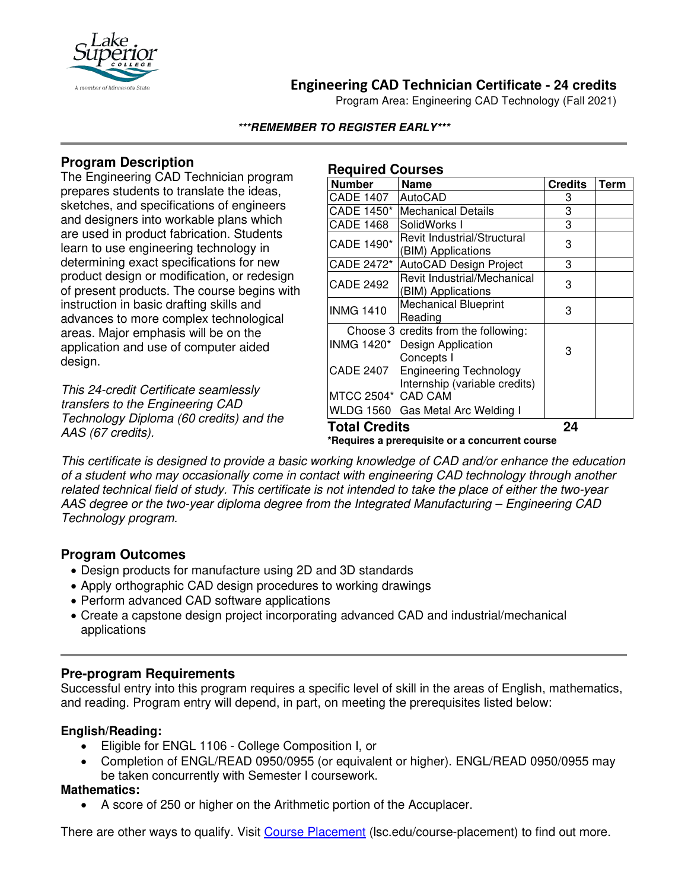

# **Engineering CAD Technician Certificate - 24 credits**

Program Area: Engineering CAD Technology (Fall 2021)

### **\*\*\*REMEMBER TO REGISTER EARLY\*\*\***

# **Program Description**

The Engineering CAD Technician program prepares students to translate the ideas, sketches, and specifications of engineers and designers into workable plans which are used in product fabrication. Students learn to use engineering technology in determining exact specifications for new product design or modification, or redesign of present products. The course begins with instruction in basic drafting skills and advances to more complex technological areas. Major emphasis will be on the application and use of computer aided design.

*This 24-credit Certificate seamlessly transfers to the Engineering CAD Technology Diploma (60 credits) and the AAS (67 credits).*

#### **Required Courses**

| <b>Number</b>                                                            | <b>Name</b>                                                    | <b>Credits</b> | <b>Term</b> |
|--------------------------------------------------------------------------|----------------------------------------------------------------|----------------|-------------|
| <b>CADE 1407</b>                                                         | AutoCAD                                                        | 3              |             |
| CADE 1450*                                                               | <b>Mechanical Details</b>                                      | 3              |             |
| <b>CADE 1468</b>                                                         | SolidWorks I                                                   | 3              |             |
| CADE 1490*                                                               | Revit Industrial/Structural<br>(BIM) Applications              | 3              |             |
| CADE 2472*                                                               | <b>AutoCAD Design Project</b>                                  | 3              |             |
| <b>CADE 2492</b>                                                         | Revit Industrial/Mechanical<br>(BIM) Applications              | 3              |             |
| <b>INMG 1410</b>                                                         | <b>Mechanical Blueprint</b><br>Reading                         | 3              |             |
|                                                                          | Choose 3 credits from the following:                           |                |             |
| <b>INMG 1420*</b>                                                        | Design Application<br>Concepts I                               | 3              |             |
| <b>CADE 2407</b>                                                         | <b>Engineering Technology</b><br>Internship (variable credits) |                |             |
| MTCC 2504* CAD CAM                                                       |                                                                |                |             |
|                                                                          | WLDG 1560 Gas Metal Arc Welding I                              |                |             |
| <b>Total Credits</b><br>$*Dconirco2$ proroguigito ar a conqurrant course |                                                                | 24             |             |

**\*Requires a prerequisite or a concurrent course**

*This certificate is designed to provide a basic working knowledge of CAD and/or enhance the education of a student who may occasionally come in contact with engineering CAD technology through another related technical field of study. This certificate is not intended to take the place of either the two-year AAS degree or the two-year diploma degree from the Integrated Manufacturing – Engineering CAD Technology program.*

## **Program Outcomes**

- Design products for manufacture using 2D and 3D standards
- Apply orthographic CAD design procedures to working drawings
- Perform advanced CAD software applications
- Create a capstone design project incorporating advanced CAD and industrial/mechanical applications

## **Pre-program Requirements**

Successful entry into this program requires a specific level of skill in the areas of English, mathematics, and reading. Program entry will depend, in part, on meeting the prerequisites listed below:

### **English/Reading:**

- Eligible for ENGL 1106 College Composition I, or
- Completion of ENGL/READ 0950/0955 (or equivalent or higher). ENGL/READ 0950/0955 may be taken concurrently with Semester I coursework.

### **Mathematics:**

• A score of 250 or higher on the Arithmetic portion of the Accuplacer.

There are other ways to qualify. Visit [Course Placement](https://www.lsc.edu/course-placement/) (Isc.edu/course-placement) to find out more.